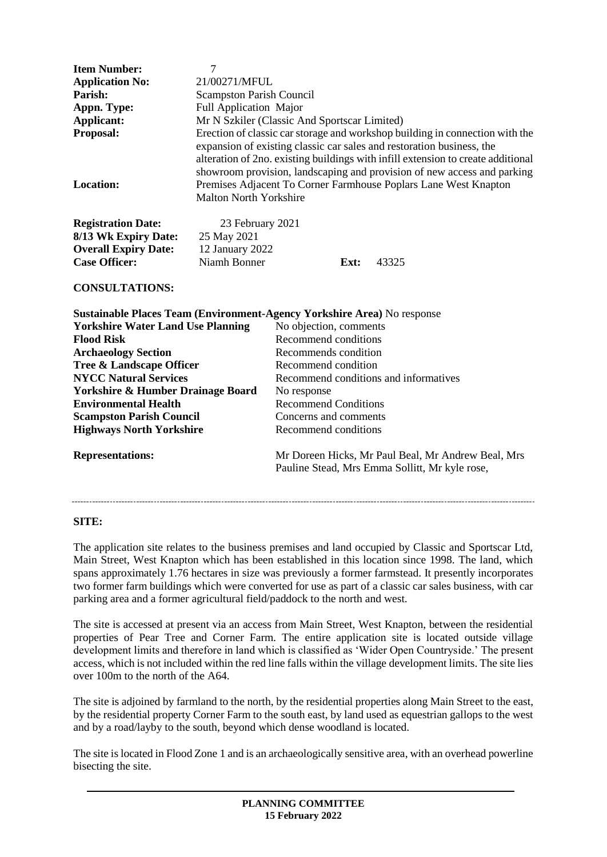| 7<br>21/00271/MFUL                                                 |      |                                                                                                                                                                                                                                                                                                                                                                                         |
|--------------------------------------------------------------------|------|-----------------------------------------------------------------------------------------------------------------------------------------------------------------------------------------------------------------------------------------------------------------------------------------------------------------------------------------------------------------------------------------|
| <b>Scampston Parish Council</b>                                    |      |                                                                                                                                                                                                                                                                                                                                                                                         |
| <b>Full Application Major</b>                                      |      |                                                                                                                                                                                                                                                                                                                                                                                         |
| Mr N Szkiler (Classic And Sportscar Limited)                       |      |                                                                                                                                                                                                                                                                                                                                                                                         |
|                                                                    |      |                                                                                                                                                                                                                                                                                                                                                                                         |
| <b>Malton North Yorkshire</b>                                      |      |                                                                                                                                                                                                                                                                                                                                                                                         |
| 23 February 2021<br>25 May 2021<br>12 January 2022<br>Niamh Bonner | Ext: | 43325                                                                                                                                                                                                                                                                                                                                                                                   |
|                                                                    |      | Erection of classic car storage and workshop building in connection with the<br>expansion of existing classic car sales and restoration business, the<br>alteration of 2no. existing buildings with infill extension to create additional<br>showroom provision, landscaping and provision of new access and parking<br>Premises Adjacent To Corner Farmhouse Poplars Lane West Knapton |

| <b>Sustainable Places Team (Environment-Agency Yorkshire Area)</b> No response |                                                                                                      |  |
|--------------------------------------------------------------------------------|------------------------------------------------------------------------------------------------------|--|
| <b>Yorkshire Water Land Use Planning</b>                                       | No objection, comments                                                                               |  |
| <b>Flood Risk</b>                                                              | Recommend conditions                                                                                 |  |
| <b>Archaeology Section</b>                                                     | Recommends condition                                                                                 |  |
| Tree & Landscape Officer                                                       | Recommend condition                                                                                  |  |
| <b>NYCC Natural Services</b>                                                   | Recommend conditions and informatives                                                                |  |
| <b>Yorkshire &amp; Humber Drainage Board</b>                                   | No response                                                                                          |  |
| <b>Environmental Health</b>                                                    | <b>Recommend Conditions</b>                                                                          |  |
| <b>Scampston Parish Council</b>                                                | Concerns and comments                                                                                |  |
| <b>Highways North Yorkshire</b>                                                | Recommend conditions                                                                                 |  |
| <b>Representations:</b>                                                        | Mr Doreen Hicks, Mr Paul Beal, Mr Andrew Beal, Mrs<br>Pauline Stead, Mrs Emma Sollitt, Mr kyle rose, |  |

**SITE:**

The application site relates to the business premises and land occupied by Classic and Sportscar Ltd, Main Street, West Knapton which has been established in this location since 1998. The land, which spans approximately 1.76 hectares in size was previously a former farmstead. It presently incorporates two former farm buildings which were converted for use as part of a classic car sales business, with car parking area and a former agricultural field/paddock to the north and west.

The site is accessed at present via an access from Main Street, West Knapton, between the residential properties of Pear Tree and Corner Farm. The entire application site is located outside village development limits and therefore in land which is classified as 'Wider Open Countryside.' The present access, which is not included within the red line falls within the village development limits. The site lies over 100m to the north of the A64.

The site is adjoined by farmland to the north, by the residential properties along Main Street to the east, by the residential property Corner Farm to the south east, by land used as equestrian gallops to the west and by a road/layby to the south, beyond which dense woodland is located.

The site is located in Flood Zone 1 and is an archaeologically sensitive area, with an overhead powerline bisecting the site.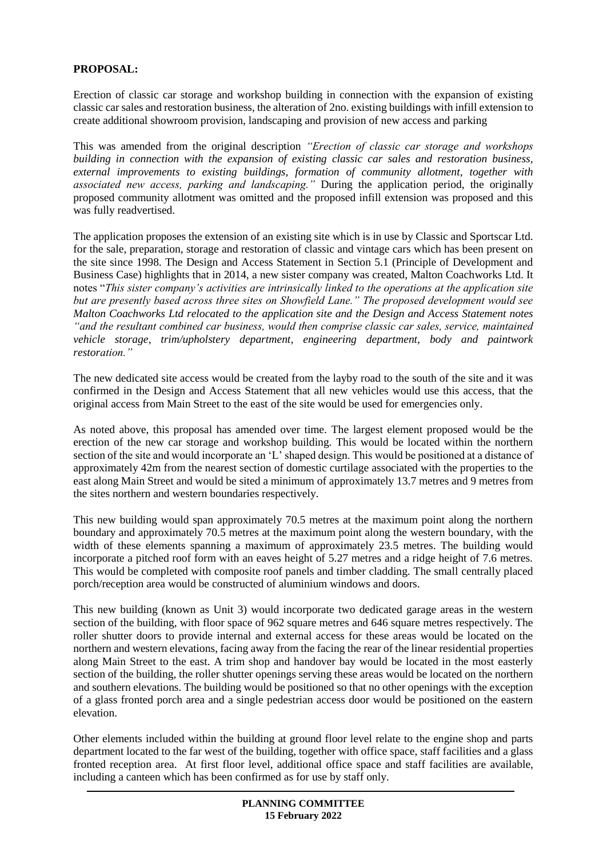#### **PROPOSAL:**

Erection of classic car storage and workshop building in connection with the expansion of existing classic car sales and restoration business, the alteration of 2no. existing buildings with infill extension to create additional showroom provision, landscaping and provision of new access and parking

This was amended from the original description *"Erection of classic car storage and workshops building in connection with the expansion of existing classic car sales and restoration business, external improvements to existing buildings, formation of community allotment, together with associated new access, parking and landscaping."* During the application period, the originally proposed community allotment was omitted and the proposed infill extension was proposed and this was fully readvertised.

The application proposes the extension of an existing site which is in use by Classic and Sportscar Ltd. for the sale, preparation, storage and restoration of classic and vintage cars which has been present on the site since 1998. The Design and Access Statement in Section 5.1 (Principle of Development and Business Case) highlights that in 2014, a new sister company was created, Malton Coachworks Ltd. It notes "*This sister company's activities are intrinsically linked to the operations at the application site but are presently based across three sites on Showfield Lane." The proposed development would see Malton Coachworks Ltd relocated to the application site and the Design and Access Statement notes "and the resultant combined car business, would then comprise classic car sales, service, maintained vehicle storage, trim/upholstery department, engineering department, body and paintwork restoration."*

The new dedicated site access would be created from the layby road to the south of the site and it was confirmed in the Design and Access Statement that all new vehicles would use this access, that the original access from Main Street to the east of the site would be used for emergencies only.

As noted above, this proposal has amended over time. The largest element proposed would be the erection of the new car storage and workshop building. This would be located within the northern section of the site and would incorporate an 'L' shaped design. This would be positioned at a distance of approximately 42m from the nearest section of domestic curtilage associated with the properties to the east along Main Street and would be sited a minimum of approximately 13.7 metres and 9 metres from the sites northern and western boundaries respectively.

This new building would span approximately 70.5 metres at the maximum point along the northern boundary and approximately 70.5 metres at the maximum point along the western boundary, with the width of these elements spanning a maximum of approximately 23.5 metres. The building would incorporate a pitched roof form with an eaves height of 5.27 metres and a ridge height of 7.6 metres. This would be completed with composite roof panels and timber cladding. The small centrally placed porch/reception area would be constructed of aluminium windows and doors.

This new building (known as Unit 3) would incorporate two dedicated garage areas in the western section of the building, with floor space of 962 square metres and 646 square metres respectively. The roller shutter doors to provide internal and external access for these areas would be located on the northern and western elevations, facing away from the facing the rear of the linear residential properties along Main Street to the east. A trim shop and handover bay would be located in the most easterly section of the building, the roller shutter openings serving these areas would be located on the northern and southern elevations. The building would be positioned so that no other openings with the exception of a glass fronted porch area and a single pedestrian access door would be positioned on the eastern elevation.

Other elements included within the building at ground floor level relate to the engine shop and parts department located to the far west of the building, together with office space, staff facilities and a glass fronted reception area. At first floor level, additional office space and staff facilities are available, including a canteen which has been confirmed as for use by staff only.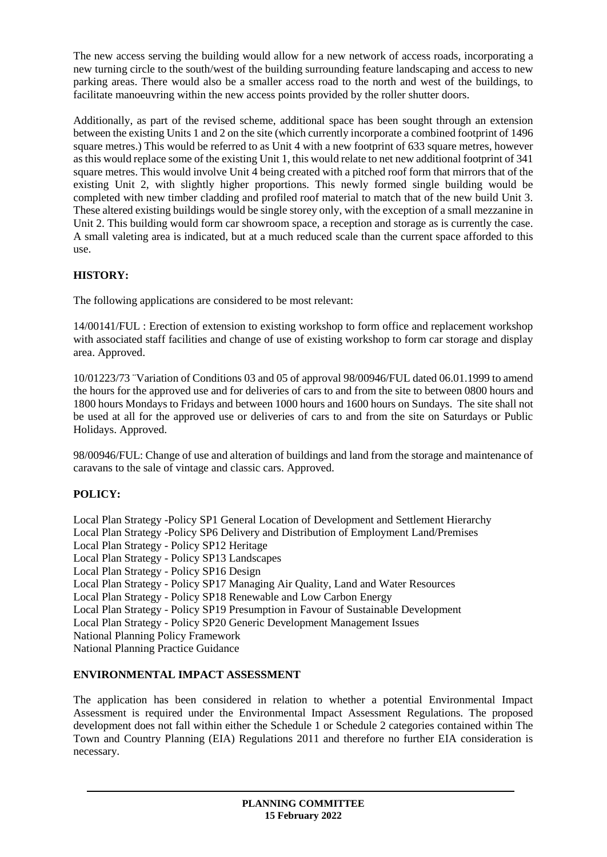The new access serving the building would allow for a new network of access roads, incorporating a new turning circle to the south/west of the building surrounding feature landscaping and access to new parking areas. There would also be a smaller access road to the north and west of the buildings, to facilitate manoeuvring within the new access points provided by the roller shutter doors.

Additionally, as part of the revised scheme, additional space has been sought through an extension between the existing Units 1 and 2 on the site (which currently incorporate a combined footprint of 1496 square metres.) This would be referred to as Unit 4 with a new footprint of 633 square metres, however as this would replace some of the existing Unit 1, this would relate to net new additional footprint of 341 square metres. This would involve Unit 4 being created with a pitched roof form that mirrors that of the existing Unit 2, with slightly higher proportions. This newly formed single building would be completed with new timber cladding and profiled roof material to match that of the new build Unit 3. These altered existing buildings would be single storey only, with the exception of a small mezzanine in Unit 2. This building would form car showroom space, a reception and storage as is currently the case. A small valeting area is indicated, but at a much reduced scale than the current space afforded to this use.

# **HISTORY:**

The following applications are considered to be most relevant:

14/00141/FUL : Erection of extension to existing workshop to form office and replacement workshop with associated staff facilities and change of use of existing workshop to form car storage and display area. Approved.

10/01223/73 ¨Variation of Conditions 03 and 05 of approval 98/00946/FUL dated 06.01.1999 to amend the hours for the approved use and for deliveries of cars to and from the site to between 0800 hours and 1800 hours Mondays to Fridays and between 1000 hours and 1600 hours on Sundays. The site shall not be used at all for the approved use or deliveries of cars to and from the site on Saturdays or Public Holidays. Approved.

98/00946/FUL: Change of use and alteration of buildings and land from the storage and maintenance of caravans to the sale of vintage and classic cars. Approved.

# **POLICY:**

Local Plan Strategy -Policy SP1 General Location of Development and Settlement Hierarchy Local Plan Strategy -Policy SP6 Delivery and Distribution of Employment Land/Premises Local Plan Strategy - Policy SP12 Heritage Local Plan Strategy - Policy SP13 Landscapes Local Plan Strategy - Policy SP16 Design Local Plan Strategy - Policy SP17 Managing Air Quality, Land and Water Resources Local Plan Strategy - Policy SP18 Renewable and Low Carbon Energy Local Plan Strategy - Policy SP19 Presumption in Favour of Sustainable Development Local Plan Strategy - Policy SP20 Generic Development Management Issues National Planning Policy Framework National Planning Practice Guidance

#### **ENVIRONMENTAL IMPACT ASSESSMENT**

The application has been considered in relation to whether a potential Environmental Impact Assessment is required under the Environmental Impact Assessment Regulations. The proposed development does not fall within either the Schedule 1 or Schedule 2 categories contained within The Town and Country Planning (EIA) Regulations 2011 and therefore no further EIA consideration is necessary.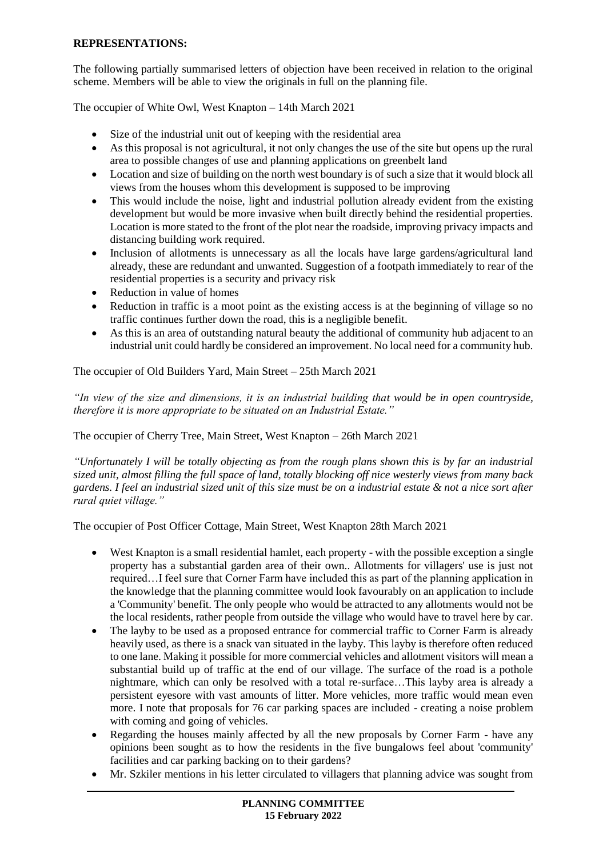#### **REPRESENTATIONS:**

The following partially summarised letters of objection have been received in relation to the original scheme. Members will be able to view the originals in full on the planning file.

The occupier of White Owl, West Knapton – 14th March 2021

- Size of the industrial unit out of keeping with the residential area
- As this proposal is not agricultural, it not only changes the use of the site but opens up the rural area to possible changes of use and planning applications on greenbelt land
- Location and size of building on the north west boundary is of such a size that it would block all views from the houses whom this development is supposed to be improving
- This would include the noise, light and industrial pollution already evident from the existing development but would be more invasive when built directly behind the residential properties. Location is more stated to the front of the plot near the roadside, improving privacy impacts and distancing building work required.
- Inclusion of allotments is unnecessary as all the locals have large gardens/agricultural land already, these are redundant and unwanted. Suggestion of a footpath immediately to rear of the residential properties is a security and privacy risk
- Reduction in value of homes
- Reduction in traffic is a moot point as the existing access is at the beginning of village so no traffic continues further down the road, this is a negligible benefit.
- As this is an area of outstanding natural beauty the additional of community hub adjacent to an industrial unit could hardly be considered an improvement. No local need for a community hub.

The occupier of Old Builders Yard, Main Street – 25th March 2021

*"In view of the size and dimensions, it is an industrial building that would be in open countryside, therefore it is more appropriate to be situated on an Industrial Estate."*

The occupier of Cherry Tree, Main Street, West Knapton – 26th March 2021

*"Unfortunately I will be totally objecting as from the rough plans shown this is by far an industrial sized unit, almost filling the full space of land, totally blocking off nice westerly views from many back gardens. I feel an industrial sized unit of this size must be on a industrial estate & not a nice sort after rural quiet village."*

The occupier of Post Officer Cottage, Main Street, West Knapton 28th March 2021

- West Knapton is a small residential hamlet, each property with the possible exception a single property has a substantial garden area of their own.. Allotments for villagers' use is just not required…I feel sure that Corner Farm have included this as part of the planning application in the knowledge that the planning committee would look favourably on an application to include a 'Community' benefit. The only people who would be attracted to any allotments would not be the local residents, rather people from outside the village who would have to travel here by car.
- The layby to be used as a proposed entrance for commercial traffic to Corner Farm is already heavily used, as there is a snack van situated in the layby. This layby is therefore often reduced to one lane. Making it possible for more commercial vehicles and allotment visitors will mean a substantial build up of traffic at the end of our village. The surface of the road is a pothole nightmare, which can only be resolved with a total re-surface…This layby area is already a persistent eyesore with vast amounts of litter. More vehicles, more traffic would mean even more. I note that proposals for 76 car parking spaces are included - creating a noise problem with coming and going of vehicles.
- Regarding the houses mainly affected by all the new proposals by Corner Farm have any opinions been sought as to how the residents in the five bungalows feel about 'community' facilities and car parking backing on to their gardens?
- Mr. Szkiler mentions in his letter circulated to villagers that planning advice was sought from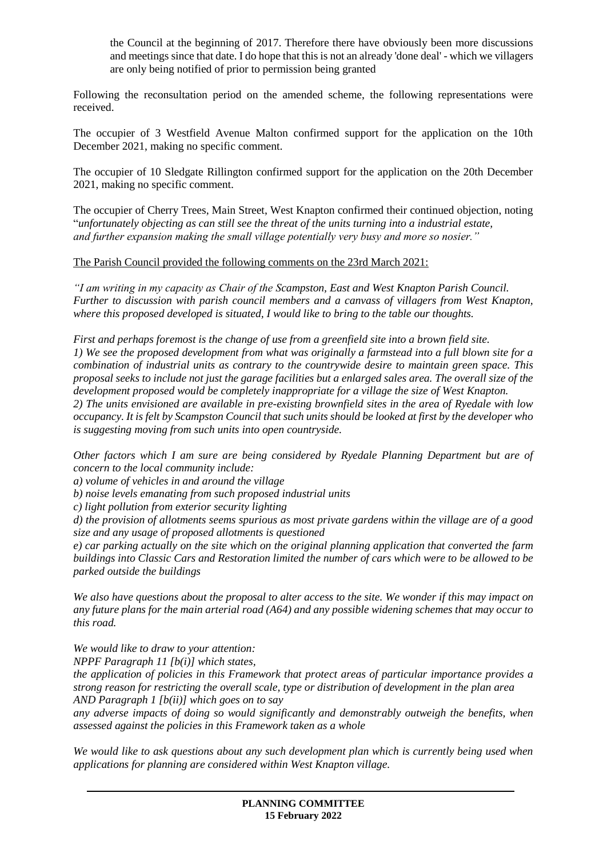the Council at the beginning of 2017. Therefore there have obviously been more discussions and meetings since that date. I do hope that this is not an already 'done deal' - which we villagers are only being notified of prior to permission being granted

Following the reconsultation period on the amended scheme, the following representations were received.

The occupier of 3 Westfield Avenue Malton confirmed support for the application on the 10th December 2021, making no specific comment.

The occupier of 10 Sledgate Rillington confirmed support for the application on the 20th December 2021, making no specific comment.

The occupier of Cherry Trees, Main Street, West Knapton confirmed their continued objection, noting "*unfortunately objecting as can still see the threat of the units turning into a industrial estate, and further expansion making the small village potentially very busy and more so nosier."*

The Parish Council provided the following comments on the 23rd March 2021:

*"I am writing in my capacity as Chair of the Scampston, East and West Knapton Parish Council. Further to discussion with parish council members and a canvass of villagers from West Knapton, where this proposed developed is situated, I would like to bring to the table our thoughts.*

*First and perhaps foremost is the change of use from a greenfield site into a brown field site. 1) We see the proposed development from what was originally a farmstead into a full blown site for a combination of industrial units as contrary to the countrywide desire to maintain green space. This proposal seeks to include not just the garage facilities but a enlarged sales area. The overall size of the development proposed would be completely inappropriate for a village the size of West Knapton. 2) The units envisioned are available in pre-existing brownfield sites in the area of Ryedale with low occupancy. It is felt by Scampston Council that such units should be looked at first by the developer who is suggesting moving from such units into open countryside.*

*Other factors which I am sure are being considered by Ryedale Planning Department but are of concern to the local community include:*

*a) volume of vehicles in and around the village*

*b) noise levels emanating from such proposed industrial units*

*c) light pollution from exterior security lighting*

*d) the provision of allotments seems spurious as most private gardens within the village are of a good size and any usage of proposed allotments is questioned*

*e) car parking actually on the site which on the original planning application that converted the farm buildings into Classic Cars and Restoration limited the number of cars which were to be allowed to be parked outside the buildings*

*We also have questions about the proposal to alter access to the site. We wonder if this may impact on any future plans for the main arterial road (A64) and any possible widening schemes that may occur to this road.*

*We would like to draw to your attention:*

*NPPF Paragraph 11 [b(i)] which states,*

*the application of policies in this Framework that protect areas of particular importance provides a strong reason for restricting the overall scale, type or distribution of development in the plan area AND Paragraph 1 [b(ii)] which goes on to say*

*any adverse impacts of doing so would significantly and demonstrably outweigh the benefits, when assessed against the policies in this Framework taken as a whole*

*We would like to ask questions about any such development plan which is currently being used when applications for planning are considered within West Knapton village.*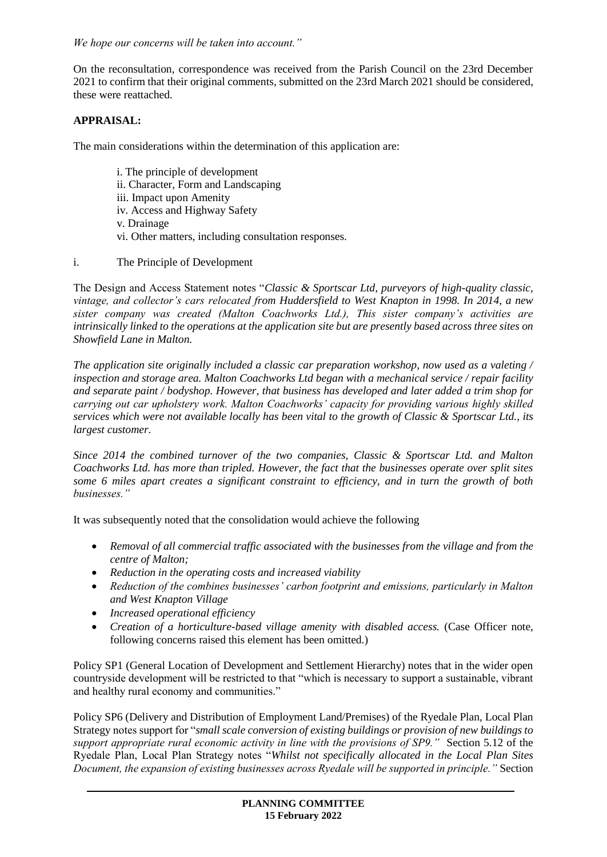*We hope our concerns will be taken into account."*

On the reconsultation, correspondence was received from the Parish Council on the 23rd December 2021 to confirm that their original comments, submitted on the 23rd March 2021 should be considered, these were reattached.

## **APPRAISAL:**

The main considerations within the determination of this application are:

- i. The principle of development
- ii. Character, Form and Landscaping
- iii. Impact upon Amenity
- iv. Access and Highway Safety
- v. Drainage
- vi. Other matters, including consultation responses.
- i. The Principle of Development

The Design and Access Statement notes "*Classic & Sportscar Ltd, purveyors of high-quality classic, vintage, and collector's cars relocated from Huddersfield to West Knapton in 1998. In 2014, a new sister company was created (Malton Coachworks Ltd.), This sister company's activities are intrinsically linked to the operations at the application site but are presently based across three sites on Showfield Lane in Malton.*

*The application site originally included a classic car preparation workshop, now used as a valeting / inspection and storage area. Malton Coachworks Ltd began with a mechanical service / repair facility and separate paint / bodyshop. However, that business has developed and later added a trim shop for carrying out car upholstery work. Malton Coachworks' capacity for providing various highly skilled services which were not available locally has been vital to the growth of Classic & Sportscar Ltd., its largest customer.* 

*Since 2014 the combined turnover of the two companies, Classic & Sportscar Ltd. and Malton Coachworks Ltd. has more than tripled. However, the fact that the businesses operate over split sites some 6 miles apart creates a significant constraint to efficiency, and in turn the growth of both businesses."*

It was subsequently noted that the consolidation would achieve the following

- *Removal of all commercial traffic associated with the businesses from the village and from the centre of Malton;*
- *Reduction in the operating costs and increased viability*
- *Reduction of the combines businesses' carbon footprint and emissions, particularly in Malton and West Knapton Village*
- *Increased operational efficiency*
- *Creation of a horticulture-based village amenity with disabled access.* (Case Officer note, following concerns raised this element has been omitted.)

Policy SP1 (General Location of Development and Settlement Hierarchy) notes that in the wider open countryside development will be restricted to that "which is necessary to support a sustainable, vibrant and healthy rural economy and communities."

Policy SP6 (Delivery and Distribution of Employment Land/Premises) of the Ryedale Plan, Local Plan Strategy notes support for "*small scale conversion of existing buildings or provision of new buildings to support appropriate rural economic activity in line with the provisions of SP9."* Section 5.12 of the Ryedale Plan, Local Plan Strategy notes "*Whilst not specifically allocated in the Local Plan Sites Document, the expansion of existing businesses across Ryedale will be supported in principle."* Section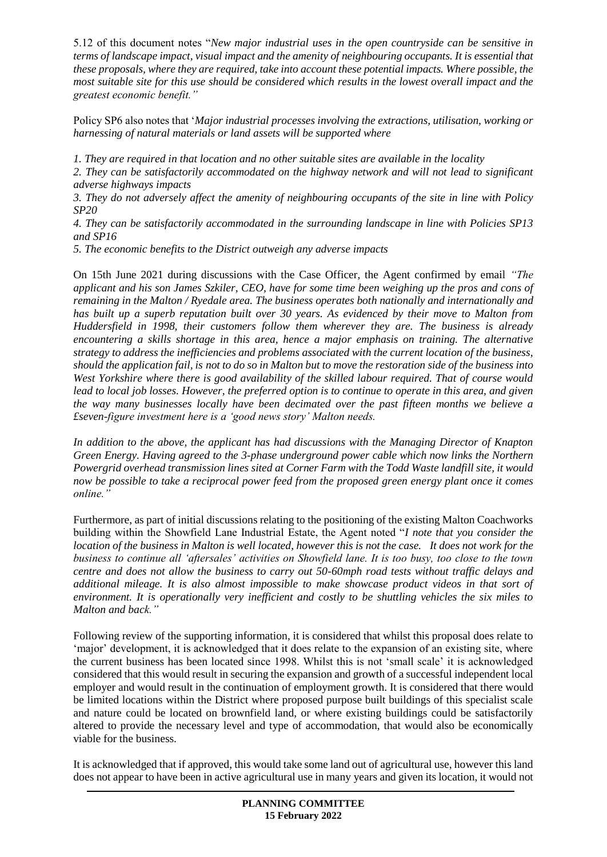5.12 of this document notes "*New major industrial uses in the open countryside can be sensitive in terms of landscape impact, visual impact and the amenity of neighbouring occupants. It is essential that these proposals, where they are required, take into account these potential impacts. Where possible, the most suitable site for this use should be considered which results in the lowest overall impact and the greatest economic benefit."*

Policy SP6 also notes that '*Major industrial processes involving the extractions, utilisation, working or harnessing of natural materials or land assets will be supported where* 

*1. They are required in that location and no other suitable sites are available in the locality* 

*2. They can be satisfactorily accommodated on the highway network and will not lead to significant adverse highways impacts* 

*3. They do not adversely affect the amenity of neighbouring occupants of the site in line with Policy SP20* 

*4. They can be satisfactorily accommodated in the surrounding landscape in line with Policies SP13 and SP16* 

*5. The economic benefits to the District outweigh any adverse impacts*

On 15th June 2021 during discussions with the Case Officer, the Agent confirmed by email *"The applicant and his son James Szkiler, CEO, have for some time been weighing up the pros and cons of remaining in the Malton / Ryedale area. The business operates both nationally and internationally and has built up a superb reputation built over 30 years. As evidenced by their move to Malton from Huddersfield in 1998, their customers follow them wherever they are. The business is already encountering a skills shortage in this area, hence a major emphasis on training. The alternative strategy to address the inefficiencies and problems associated with the current location of the business, should the application fail, is not to do so in Malton but to move the restoration side of the business into West Yorkshire where there is good availability of the skilled labour required. That of course would lead to local job losses. However, the preferred option is to continue to operate in this area, and given the way many businesses locally have been decimated over the past fifteen months we believe a £seven-figure investment here is a 'good news story' Malton needs.*

*In addition to the above, the applicant has had discussions with the Managing Director of Knapton Green Energy. Having agreed to the 3-phase underground power cable which now links the Northern Powergrid overhead transmission lines sited at Corner Farm with the Todd Waste landfill site, it would now be possible to take a reciprocal power feed from the proposed green energy plant once it comes online."*

Furthermore, as part of initial discussions relating to the positioning of the existing Malton Coachworks building within the Showfield Lane Industrial Estate, the Agent noted "*I note that you consider the location of the business in Malton is well located, however this is not the case. It does not work for the business to continue all 'aftersales' activities on Showfield lane. It is too busy, too close to the town centre and does not allow the business to carry out 50-60mph road tests without traffic delays and additional mileage. It is also almost impossible to make showcase product videos in that sort of environment. It is operationally very inefficient and costly to be shuttling vehicles the six miles to Malton and back."*

Following review of the supporting information, it is considered that whilst this proposal does relate to 'major' development, it is acknowledged that it does relate to the expansion of an existing site, where the current business has been located since 1998. Whilst this is not 'small scale' it is acknowledged considered that this would result in securing the expansion and growth of a successful independent local employer and would result in the continuation of employment growth. It is considered that there would be limited locations within the District where proposed purpose built buildings of this specialist scale and nature could be located on brownfield land, or where existing buildings could be satisfactorily altered to provide the necessary level and type of accommodation, that would also be economically viable for the business.

It is acknowledged that if approved, this would take some land out of agricultural use, however this land does not appear to have been in active agricultural use in many years and given its location, it would not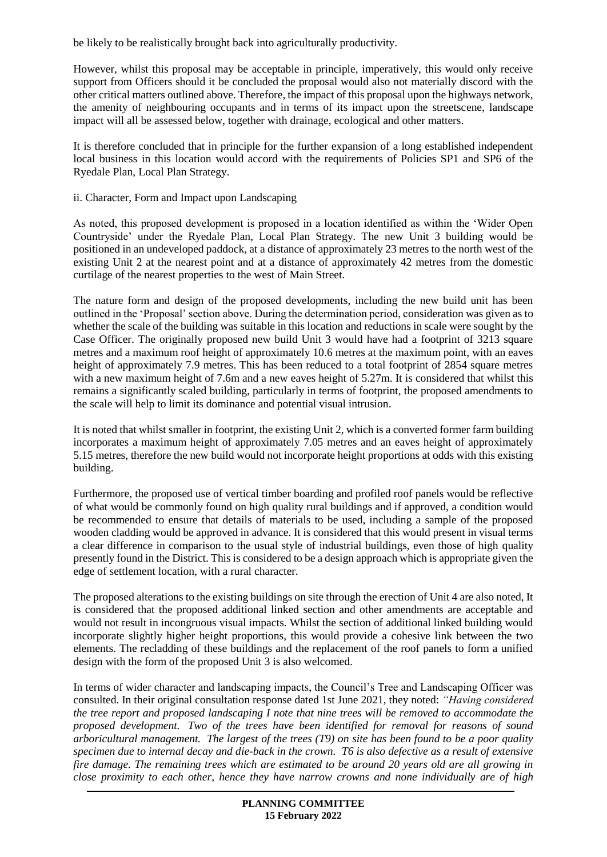be likely to be realistically brought back into agriculturally productivity.

However, whilst this proposal may be acceptable in principle, imperatively, this would only receive support from Officers should it be concluded the proposal would also not materially discord with the other critical matters outlined above. Therefore, the impact of this proposal upon the highways network, the amenity of neighbouring occupants and in terms of its impact upon the streetscene, landscape impact will all be assessed below, together with drainage, ecological and other matters.

It is therefore concluded that in principle for the further expansion of a long established independent local business in this location would accord with the requirements of Policies SP1 and SP6 of the Ryedale Plan, Local Plan Strategy.

#### ii. Character, Form and Impact upon Landscaping

As noted, this proposed development is proposed in a location identified as within the 'Wider Open Countryside' under the Ryedale Plan, Local Plan Strategy. The new Unit 3 building would be positioned in an undeveloped paddock, at a distance of approximately 23 metres to the north west of the existing Unit 2 at the nearest point and at a distance of approximately 42 metres from the domestic curtilage of the nearest properties to the west of Main Street.

The nature form and design of the proposed developments, including the new build unit has been outlined in the 'Proposal' section above. During the determination period, consideration was given as to whether the scale of the building was suitable in this location and reductions in scale were sought by the Case Officer. The originally proposed new build Unit 3 would have had a footprint of 3213 square metres and a maximum roof height of approximately 10.6 metres at the maximum point, with an eaves height of approximately 7.9 metres. This has been reduced to a total footprint of 2854 square metres with a new maximum height of 7.6m and a new eaves height of 5.27m. It is considered that whilst this remains a significantly scaled building, particularly in terms of footprint, the proposed amendments to the scale will help to limit its dominance and potential visual intrusion.

It is noted that whilst smaller in footprint, the existing Unit 2, which is a converted former farm building incorporates a maximum height of approximately 7.05 metres and an eaves height of approximately 5.15 metres, therefore the new build would not incorporate height proportions at odds with this existing building.

Furthermore, the proposed use of vertical timber boarding and profiled roof panels would be reflective of what would be commonly found on high quality rural buildings and if approved, a condition would be recommended to ensure that details of materials to be used, including a sample of the proposed wooden cladding would be approved in advance. It is considered that this would present in visual terms a clear difference in comparison to the usual style of industrial buildings, even those of high quality presently found in the District. This is considered to be a design approach which is appropriate given the edge of settlement location, with a rural character.

The proposed alterations to the existing buildings on site through the erection of Unit 4 are also noted, It is considered that the proposed additional linked section and other amendments are acceptable and would not result in incongruous visual impacts. Whilst the section of additional linked building would incorporate slightly higher height proportions, this would provide a cohesive link between the two elements. The recladding of these buildings and the replacement of the roof panels to form a unified design with the form of the proposed Unit 3 is also welcomed.

In terms of wider character and landscaping impacts, the Council's Tree and Landscaping Officer was consulted. In their original consultation response dated 1st June 2021, they noted: *"Having considered the tree report and proposed landscaping I note that nine trees will be removed to accommodate the proposed development. Two of the trees have been identified for removal for reasons of sound arboricultural management. The largest of the trees (T9) on site has been found to be a poor quality specimen due to internal decay and die-back in the crown. T6 is also defective as a result of extensive fire damage. The remaining trees which are estimated to be around 20 years old are all growing in close proximity to each other, hence they have narrow crowns and none individually are of high*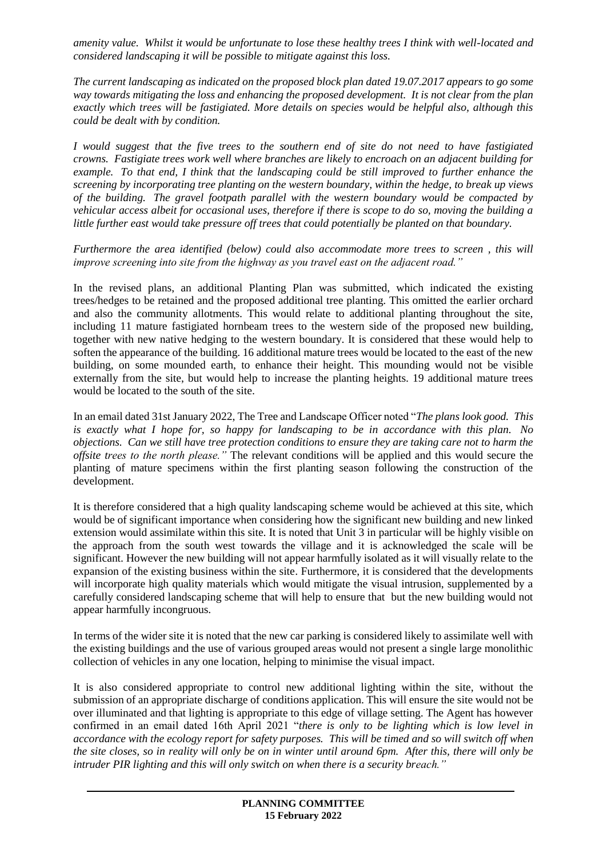*amenity value. Whilst it would be unfortunate to lose these healthy trees I think with well-located and considered landscaping it will be possible to mitigate against this loss.*

*The current landscaping as indicated on the proposed block plan dated 19.07.2017 appears to go some way towards mitigating the loss and enhancing the proposed development. It is not clear from the plan exactly which trees will be fastigiated. More details on species would be helpful also, although this could be dealt with by condition.*

*I would suggest that the five trees to the southern end of site do not need to have fastigiated crowns. Fastigiate trees work well where branches are likely to encroach on an adjacent building for example. To that end, I think that the landscaping could be still improved to further enhance the screening by incorporating tree planting on the western boundary, within the hedge, to break up views of the building. The gravel footpath parallel with the western boundary would be compacted by vehicular access albeit for occasional uses, therefore if there is scope to do so, moving the building a little further east would take pressure off trees that could potentially be planted on that boundary.*

*Furthermore the area identified (below) could also accommodate more trees to screen , this will improve screening into site from the highway as you travel east on the adjacent road."*

In the revised plans, an additional Planting Plan was submitted, which indicated the existing trees/hedges to be retained and the proposed additional tree planting. This omitted the earlier orchard and also the community allotments. This would relate to additional planting throughout the site, including 11 mature fastigiated hornbeam trees to the western side of the proposed new building, together with new native hedging to the western boundary. It is considered that these would help to soften the appearance of the building. 16 additional mature trees would be located to the east of the new building, on some mounded earth, to enhance their height. This mounding would not be visible externally from the site, but would help to increase the planting heights. 19 additional mature trees would be located to the south of the site.

In an email dated 31st January 2022, The Tree and Landscape Officer noted "*The plans look good. This is exactly what I hope for, so happy for landscaping to be in accordance with this plan. No objections. Can we still have tree protection conditions to ensure they are taking care not to harm the offsite trees to the north please."* The relevant conditions will be applied and this would secure the planting of mature specimens within the first planting season following the construction of the development.

It is therefore considered that a high quality landscaping scheme would be achieved at this site, which would be of significant importance when considering how the significant new building and new linked extension would assimilate within this site. It is noted that Unit 3 in particular will be highly visible on the approach from the south west towards the village and it is acknowledged the scale will be significant. However the new building will not appear harmfully isolated as it will visually relate to the expansion of the existing business within the site. Furthermore, it is considered that the developments will incorporate high quality materials which would mitigate the visual intrusion, supplemented by a carefully considered landscaping scheme that will help to ensure that but the new building would not appear harmfully incongruous.

In terms of the wider site it is noted that the new car parking is considered likely to assimilate well with the existing buildings and the use of various grouped areas would not present a single large monolithic collection of vehicles in any one location, helping to minimise the visual impact.

It is also considered appropriate to control new additional lighting within the site, without the submission of an appropriate discharge of conditions application. This will ensure the site would not be over illuminated and that lighting is appropriate to this edge of village setting. The Agent has however confirmed in an email dated 16th April 2021 "*there is only to be lighting which is low level in accordance with the ecology report for safety purposes. This will be timed and so will switch off when the site closes, so in reality will only be on in winter until around 6pm. After this, there will only be intruder PIR lighting and this will only switch on when there is a security breach."*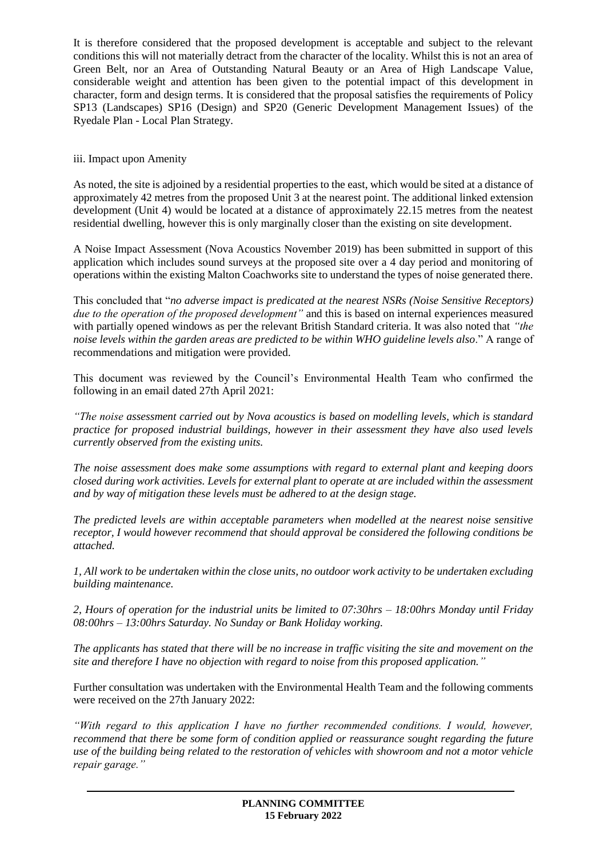It is therefore considered that the proposed development is acceptable and subject to the relevant conditions this will not materially detract from the character of the locality. Whilst this is not an area of Green Belt, nor an Area of Outstanding Natural Beauty or an Area of High Landscape Value, considerable weight and attention has been given to the potential impact of this development in character, form and design terms. It is considered that the proposal satisfies the requirements of Policy SP13 (Landscapes) SP16 (Design) and SP20 (Generic Development Management Issues) of the Ryedale Plan - Local Plan Strategy.

## iii. Impact upon Amenity

As noted, the site is adjoined by a residential properties to the east, which would be sited at a distance of approximately 42 metres from the proposed Unit 3 at the nearest point. The additional linked extension development (Unit 4) would be located at a distance of approximately 22.15 metres from the neatest residential dwelling, however this is only marginally closer than the existing on site development.

A Noise Impact Assessment (Nova Acoustics November 2019) has been submitted in support of this application which includes sound surveys at the proposed site over a 4 day period and monitoring of operations within the existing Malton Coachworks site to understand the types of noise generated there.

This concluded that "*no adverse impact is predicated at the nearest NSRs (Noise Sensitive Receptors) due to the operation of the proposed development"* and this is based on internal experiences measured with partially opened windows as per the relevant British Standard criteria. It was also noted that *"the noise levels within the garden areas are predicted to be within WHO guideline levels also*." A range of recommendations and mitigation were provided.

This document was reviewed by the Council's Environmental Health Team who confirmed the following in an email dated 27th April 2021:

*"The noise assessment carried out by Nova acoustics is based on modelling levels, which is standard practice for proposed industrial buildings, however in their assessment they have also used levels currently observed from the existing units.*

*The noise assessment does make some assumptions with regard to external plant and keeping doors closed during work activities. Levels for external plant to operate at are included within the assessment and by way of mitigation these levels must be adhered to at the design stage.*

*The predicted levels are within acceptable parameters when modelled at the nearest noise sensitive receptor, I would however recommend that should approval be considered the following conditions be attached.*

*1, All work to be undertaken within the close units, no outdoor work activity to be undertaken excluding building maintenance.*

*2, Hours of operation for the industrial units be limited to 07:30hrs – 18:00hrs Monday until Friday 08:00hrs – 13:00hrs Saturday. No Sunday or Bank Holiday working.*

*The applicants has stated that there will be no increase in traffic visiting the site and movement on the site and therefore I have no objection with regard to noise from this proposed application."*

Further consultation was undertaken with the Environmental Health Team and the following comments were received on the 27th January 2022:

*"With regard to this application I have no further recommended conditions. I would, however, recommend that there be some form of condition applied or reassurance sought regarding the future use of the building being related to the restoration of vehicles with showroom and not a motor vehicle repair garage."*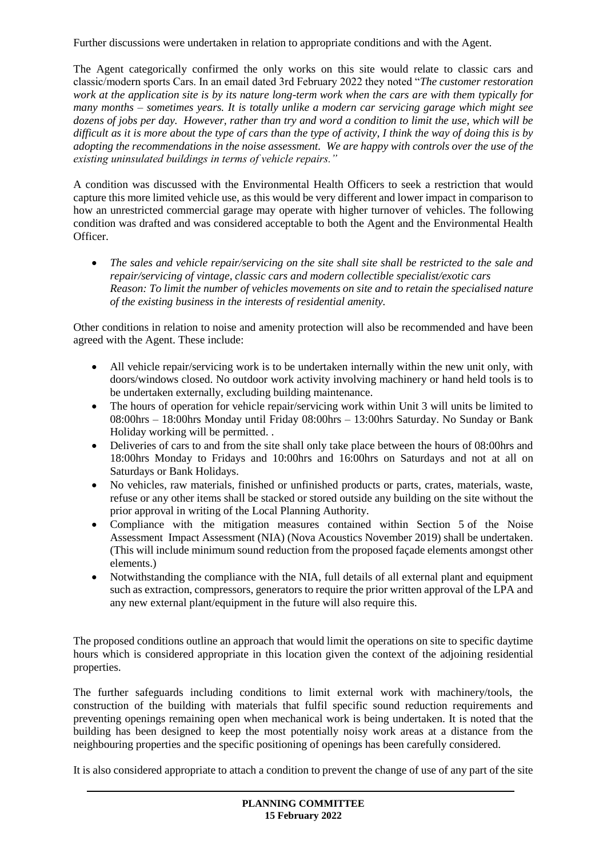Further discussions were undertaken in relation to appropriate conditions and with the Agent.

The Agent categorically confirmed the only works on this site would relate to classic cars and classic/modern sports Cars. In an email dated 3rd February 2022 they noted "*The customer restoration work at the application site is by its nature long-term work when the cars are with them typically for many months – sometimes years. It is totally unlike a modern car servicing garage which might see dozens of jobs per day. However, rather than try and word a condition to limit the use, which will be difficult as it is more about the type of cars than the type of activity, I think the way of doing this is by adopting the recommendations in the noise assessment. We are happy with controls over the use of the existing uninsulated buildings in terms of vehicle repairs."* 

A condition was discussed with the Environmental Health Officers to seek a restriction that would capture this more limited vehicle use, as this would be very different and lower impact in comparison to how an unrestricted commercial garage may operate with higher turnover of vehicles. The following condition was drafted and was considered acceptable to both the Agent and the Environmental Health Officer.

 *The sales and vehicle repair/servicing on the site shall site shall be restricted to the sale and repair/servicing of vintage, classic cars and modern collectible specialist/exotic cars Reason: To limit the number of vehicles movements on site and to retain the specialised nature of the existing business in the interests of residential amenity.* 

Other conditions in relation to noise and amenity protection will also be recommended and have been agreed with the Agent. These include:

- All vehicle repair/servicing work is to be undertaken internally within the new unit only, with doors/windows closed. No outdoor work activity involving machinery or hand held tools is to be undertaken externally, excluding building maintenance.
- The hours of operation for vehicle repair/servicing work within Unit 3 will units be limited to 08:00hrs – 18:00hrs Monday until Friday 08:00hrs – 13:00hrs Saturday. No Sunday or Bank Holiday working will be permitted. .
- Deliveries of cars to and from the site shall only take place between the hours of 08:00 hrs and 18:00hrs Monday to Fridays and 10:00hrs and 16:00hrs on Saturdays and not at all on Saturdays or Bank Holidays.
- No vehicles, raw materials, finished or unfinished products or parts, crates, materials, waste, refuse or any other items shall be stacked or stored outside any building on the site without the prior approval in writing of the Local Planning Authority.
- Compliance with the mitigation measures contained within Section 5 of the Noise Assessment Impact Assessment (NIA) (Nova Acoustics November 2019) shall be undertaken. (This will include minimum sound reduction from the proposed façade elements amongst other elements.)
- Notwithstanding the compliance with the NIA, full details of all external plant and equipment such as extraction, compressors, generators to require the prior written approval of the LPA and any new external plant/equipment in the future will also require this.

The proposed conditions outline an approach that would limit the operations on site to specific daytime hours which is considered appropriate in this location given the context of the adjoining residential properties.

The further safeguards including conditions to limit external work with machinery/tools, the construction of the building with materials that fulfil specific sound reduction requirements and preventing openings remaining open when mechanical work is being undertaken. It is noted that the building has been designed to keep the most potentially noisy work areas at a distance from the neighbouring properties and the specific positioning of openings has been carefully considered.

It is also considered appropriate to attach a condition to prevent the change of use of any part of the site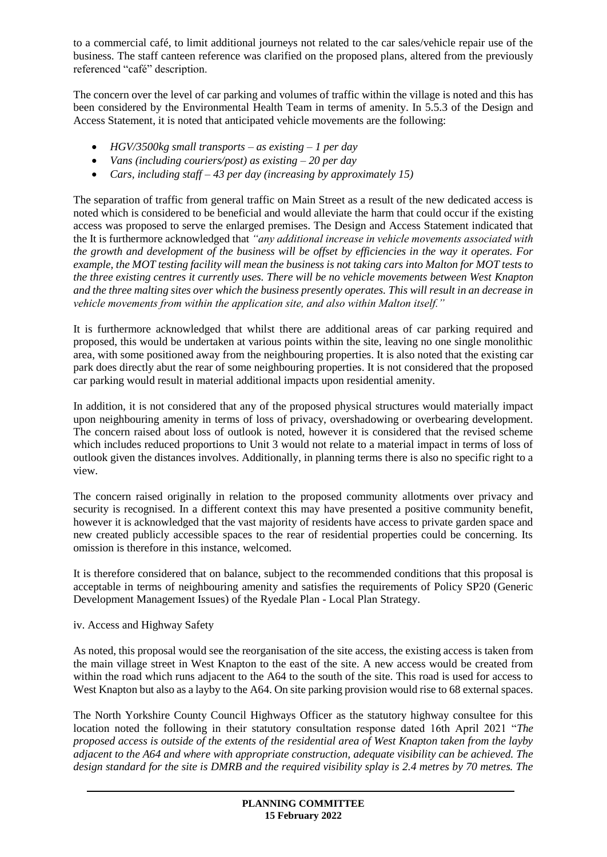to a commercial café, to limit additional journeys not related to the car sales/vehicle repair use of the business. The staff canteen reference was clarified on the proposed plans, altered from the previously referenced "café" description.

The concern over the level of car parking and volumes of traffic within the village is noted and this has been considered by the Environmental Health Team in terms of amenity. In 5.5.3 of the Design and Access Statement, it is noted that anticipated vehicle movements are the following:

- *HGV/3500kg small transports – as existing – 1 per day*
- *Vans (including couriers/post) as existing – 20 per day*
- *Cars, including staff – 43 per day (increasing by approximately 15)*

The separation of traffic from general traffic on Main Street as a result of the new dedicated access is noted which is considered to be beneficial and would alleviate the harm that could occur if the existing access was proposed to serve the enlarged premises. The Design and Access Statement indicated that the It is furthermore acknowledged that *"any additional increase in vehicle movements associated with the growth and development of the business will be offset by efficiencies in the way it operates. For example, the MOT testing facility will mean the business is not taking cars into Malton for MOT tests to the three existing centres it currently uses. There will be no vehicle movements between West Knapton and the three malting sites over which the business presently operates. This will result in an decrease in vehicle movements from within the application site, and also within Malton itself."* 

It is furthermore acknowledged that whilst there are additional areas of car parking required and proposed, this would be undertaken at various points within the site, leaving no one single monolithic area, with some positioned away from the neighbouring properties. It is also noted that the existing car park does directly abut the rear of some neighbouring properties. It is not considered that the proposed car parking would result in material additional impacts upon residential amenity.

In addition, it is not considered that any of the proposed physical structures would materially impact upon neighbouring amenity in terms of loss of privacy, overshadowing or overbearing development. The concern raised about loss of outlook is noted, however it is considered that the revised scheme which includes reduced proportions to Unit 3 would not relate to a material impact in terms of loss of outlook given the distances involves. Additionally, in planning terms there is also no specific right to a view.

The concern raised originally in relation to the proposed community allotments over privacy and security is recognised. In a different context this may have presented a positive community benefit, however it is acknowledged that the vast majority of residents have access to private garden space and new created publicly accessible spaces to the rear of residential properties could be concerning. Its omission is therefore in this instance, welcomed.

It is therefore considered that on balance, subject to the recommended conditions that this proposal is acceptable in terms of neighbouring amenity and satisfies the requirements of Policy SP20 (Generic Development Management Issues) of the Ryedale Plan - Local Plan Strategy.

#### iv. Access and Highway Safety

As noted, this proposal would see the reorganisation of the site access, the existing access is taken from the main village street in West Knapton to the east of the site. A new access would be created from within the road which runs adjacent to the A64 to the south of the site. This road is used for access to West Knapton but also as a layby to the A64. On site parking provision would rise to 68 external spaces.

The North Yorkshire County Council Highways Officer as the statutory highway consultee for this location noted the following in their statutory consultation response dated 16th April 2021 "*The proposed access is outside of the extents of the residential area of West Knapton taken from the layby adjacent to the A64 and where with appropriate construction, adequate visibility can be achieved. The design standard for the site is DMRB and the required visibility splay is 2.4 metres by 70 metres. The*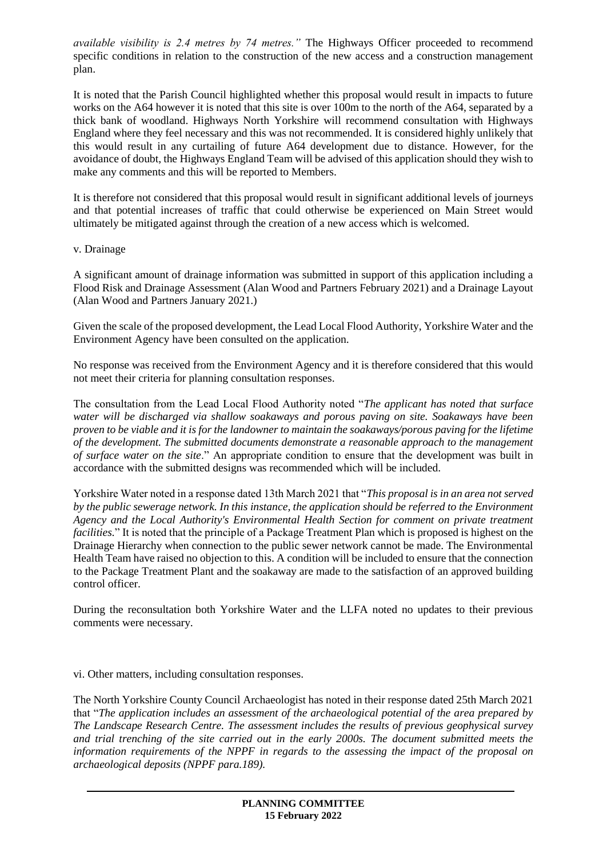*available visibility is 2.4 metres by 74 metres."* The Highways Officer proceeded to recommend specific conditions in relation to the construction of the new access and a construction management plan.

It is noted that the Parish Council highlighted whether this proposal would result in impacts to future works on the A64 however it is noted that this site is over 100m to the north of the A64, separated by a thick bank of woodland. Highways North Yorkshire will recommend consultation with Highways England where they feel necessary and this was not recommended. It is considered highly unlikely that this would result in any curtailing of future A64 development due to distance. However, for the avoidance of doubt, the Highways England Team will be advised of this application should they wish to make any comments and this will be reported to Members.

It is therefore not considered that this proposal would result in significant additional levels of journeys and that potential increases of traffic that could otherwise be experienced on Main Street would ultimately be mitigated against through the creation of a new access which is welcomed.

v. Drainage

A significant amount of drainage information was submitted in support of this application including a Flood Risk and Drainage Assessment (Alan Wood and Partners February 2021) and a Drainage Layout (Alan Wood and Partners January 2021.)

Given the scale of the proposed development, the Lead Local Flood Authority, Yorkshire Water and the Environment Agency have been consulted on the application.

No response was received from the Environment Agency and it is therefore considered that this would not meet their criteria for planning consultation responses.

The consultation from the Lead Local Flood Authority noted "*The applicant has noted that surface water will be discharged via shallow soakaways and porous paving on site. Soakaways have been proven to be viable and it is for the landowner to maintain the soakaways/porous paving for the lifetime of the development. The submitted documents demonstrate a reasonable approach to the management of surface water on the site*." An appropriate condition to ensure that the development was built in accordance with the submitted designs was recommended which will be included.

Yorkshire Water noted in a response dated 13th March 2021 that "*This proposal is in an area not served by the public sewerage network. In this instance, the application should be referred to the Environment Agency and the Local Authority's Environmental Health Section for comment on private treatment facilities.*" It is noted that the principle of a Package Treatment Plan which is proposed is highest on the Drainage Hierarchy when connection to the public sewer network cannot be made. The Environmental Health Team have raised no objection to this. A condition will be included to ensure that the connection to the Package Treatment Plant and the soakaway are made to the satisfaction of an approved building control officer.

During the reconsultation both Yorkshire Water and the LLFA noted no updates to their previous comments were necessary.

vi. Other matters, including consultation responses.

The North Yorkshire County Council Archaeologist has noted in their response dated 25th March 2021 that "*The application includes an assessment of the archaeological potential of the area prepared by The Landscape Research Centre. The assessment includes the results of previous geophysical survey and trial trenching of the site carried out in the early 2000s. The document submitted meets the information requirements of the NPPF in regards to the assessing the impact of the proposal on archaeological deposits (NPPF para.189).*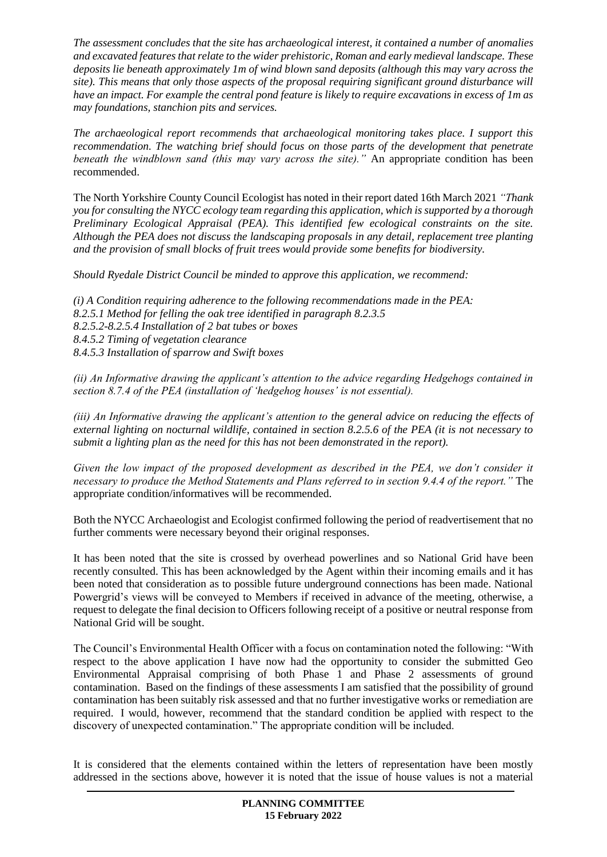*The assessment concludes that the site has archaeological interest, it contained a number of anomalies and excavated features that relate to the wider prehistoric, Roman and early medieval landscape. These deposits lie beneath approximately 1m of wind blown sand deposits (although this may vary across the site). This means that only those aspects of the proposal requiring significant ground disturbance will have an impact. For example the central pond feature is likely to require excavations in excess of 1m as may foundations, stanchion pits and services.*

*The archaeological report recommends that archaeological monitoring takes place. I support this recommendation. The watching brief should focus on those parts of the development that penetrate beneath the windblown sand (this may vary across the site)."* An appropriate condition has been recommended.

The North Yorkshire County Council Ecologist has noted in their report dated 16th March 2021 *"Thank you for consulting the NYCC ecology team regarding this application, which is supported by a thorough Preliminary Ecological Appraisal (PEA). This identified few ecological constraints on the site. Although the PEA does not discuss the landscaping proposals in any detail, replacement tree planting and the provision of small blocks of fruit trees would provide some benefits for biodiversity.* 

*Should Ryedale District Council be minded to approve this application, we recommend:*

*(i) A Condition requiring adherence to the following recommendations made in the PEA: 8.2.5.1 Method for felling the oak tree identified in paragraph 8.2.3.5 8.2.5.2-8.2.5.4 Installation of 2 bat tubes or boxes 8.4.5.2 Timing of vegetation clearance 8.4.5.3 Installation of sparrow and Swift boxes*

*(ii) An Informative drawing the applicant's attention to the advice regarding Hedgehogs contained in section 8.7.4 of the PEA (installation of 'hedgehog houses' is not essential).*

*(iii) An Informative drawing the applicant's attention to the general advice on reducing the effects of external lighting on nocturnal wildlife, contained in section 8.2.5.6 of the PEA (it is not necessary to submit a lighting plan as the need for this has not been demonstrated in the report).*

*Given the low impact of the proposed development as described in the PEA, we don't consider it necessary to produce the Method Statements and Plans referred to in section 9.4.4 of the report."* The appropriate condition/informatives will be recommended.

Both the NYCC Archaeologist and Ecologist confirmed following the period of readvertisement that no further comments were necessary beyond their original responses.

It has been noted that the site is crossed by overhead powerlines and so National Grid have been recently consulted. This has been acknowledged by the Agent within their incoming emails and it has been noted that consideration as to possible future underground connections has been made. National Powergrid's views will be conveyed to Members if received in advance of the meeting, otherwise, a request to delegate the final decision to Officers following receipt of a positive or neutral response from National Grid will be sought.

The Council's Environmental Health Officer with a focus on contamination noted the following: "With respect to the above application I have now had the opportunity to consider the submitted Geo Environmental Appraisal comprising of both Phase 1 and Phase 2 assessments of ground contamination. Based on the findings of these assessments I am satisfied that the possibility of ground contamination has been suitably risk assessed and that no further investigative works or remediation are required. I would, however, recommend that the standard condition be applied with respect to the discovery of unexpected contamination." The appropriate condition will be included.

It is considered that the elements contained within the letters of representation have been mostly addressed in the sections above, however it is noted that the issue of house values is not a material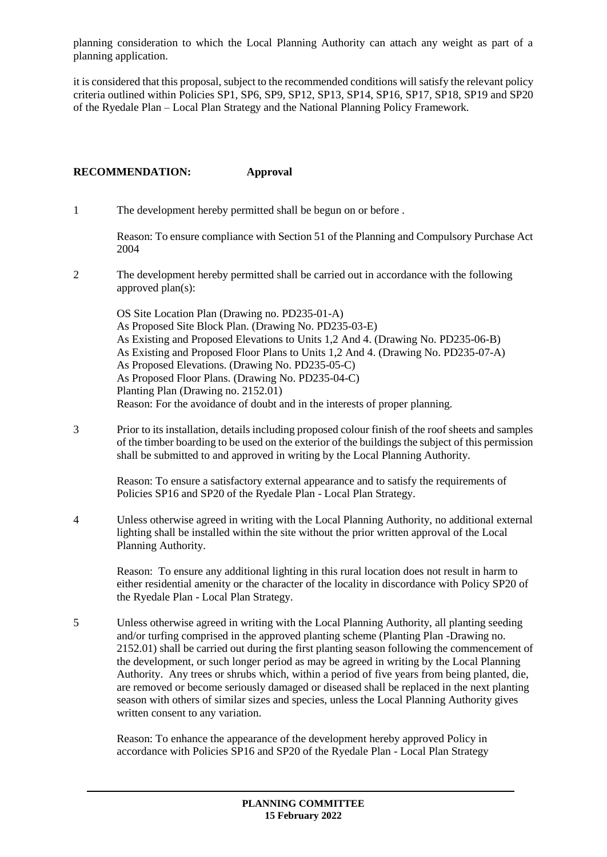planning consideration to which the Local Planning Authority can attach any weight as part of a planning application.

it is considered that this proposal, subject to the recommended conditions will satisfy the relevant policy criteria outlined within Policies SP1, SP6, SP9, SP12, SP13, SP14, SP16, SP17, SP18, SP19 and SP20 of the Ryedale Plan – Local Plan Strategy and the National Planning Policy Framework.

#### **RECOMMENDATION: Approval**

1 The development hereby permitted shall be begun on or before .

Reason: To ensure compliance with Section 51 of the Planning and Compulsory Purchase Act 2004

2 The development hereby permitted shall be carried out in accordance with the following approved plan(s):

OS Site Location Plan (Drawing no. PD235-01-A) As Proposed Site Block Plan. (Drawing No. PD235-03-E) As Existing and Proposed Elevations to Units 1,2 And 4. (Drawing No. PD235-06-B) As Existing and Proposed Floor Plans to Units 1,2 And 4. (Drawing No. PD235-07-A) As Proposed Elevations. (Drawing No. PD235-05-C) As Proposed Floor Plans. (Drawing No. PD235-04-C) Planting Plan (Drawing no. 2152.01) Reason: For the avoidance of doubt and in the interests of proper planning.

3 Prior to its installation, details including proposed colour finish of the roof sheets and samples of the timber boarding to be used on the exterior of the buildings the subject of this permission shall be submitted to and approved in writing by the Local Planning Authority.

Reason: To ensure a satisfactory external appearance and to satisfy the requirements of Policies SP16 and SP20 of the Ryedale Plan - Local Plan Strategy.

4 Unless otherwise agreed in writing with the Local Planning Authority, no additional external lighting shall be installed within the site without the prior written approval of the Local Planning Authority.

Reason: To ensure any additional lighting in this rural location does not result in harm to either residential amenity or the character of the locality in discordance with Policy SP20 of the Ryedale Plan - Local Plan Strategy.

5 Unless otherwise agreed in writing with the Local Planning Authority, all planting seeding and/or turfing comprised in the approved planting scheme (Planting Plan -Drawing no. 2152.01) shall be carried out during the first planting season following the commencement of the development, or such longer period as may be agreed in writing by the Local Planning Authority. Any trees or shrubs which, within a period of five years from being planted, die, are removed or become seriously damaged or diseased shall be replaced in the next planting season with others of similar sizes and species, unless the Local Planning Authority gives written consent to any variation.

Reason: To enhance the appearance of the development hereby approved Policy in accordance with Policies SP16 and SP20 of the Ryedale Plan - Local Plan Strategy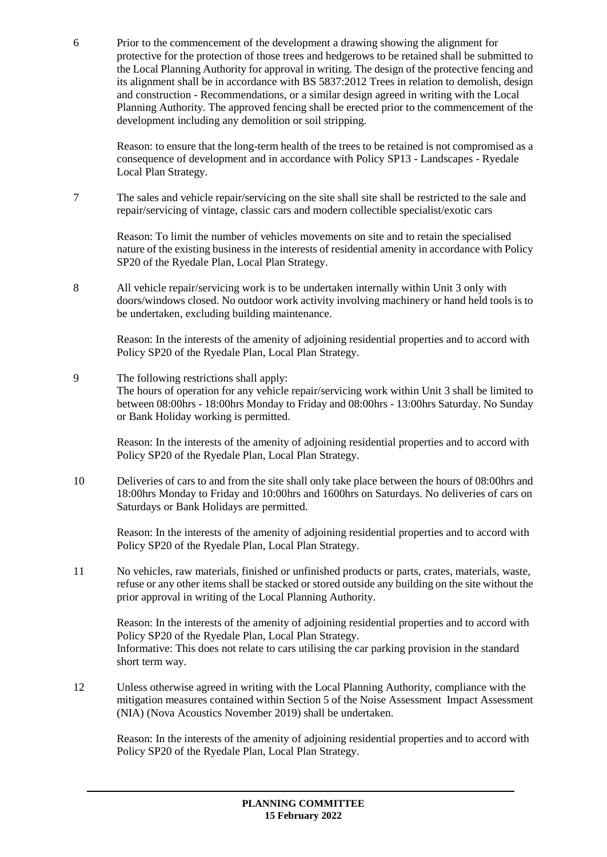6 Prior to the commencement of the development a drawing showing the alignment for protective for the protection of those trees and hedgerows to be retained shall be submitted to the Local Planning Authority for approval in writing. The design of the protective fencing and its alignment shall be in accordance with BS 5837:2012 Trees in relation to demolish, design and construction - Recommendations, or a similar design agreed in writing with the Local Planning Authority. The approved fencing shall be erected prior to the commencement of the development including any demolition or soil stripping.

Reason: to ensure that the long-term health of the trees to be retained is not compromised as a consequence of development and in accordance with Policy SP13 - Landscapes - Ryedale Local Plan Strategy.

7 The sales and vehicle repair/servicing on the site shall site shall be restricted to the sale and repair/servicing of vintage, classic cars and modern collectible specialist/exotic cars

Reason: To limit the number of vehicles movements on site and to retain the specialised nature of the existing business in the interests of residential amenity in accordance with Policy SP20 of the Ryedale Plan, Local Plan Strategy.

8 All vehicle repair/servicing work is to be undertaken internally within Unit 3 only with doors/windows closed. No outdoor work activity involving machinery or hand held tools is to be undertaken, excluding building maintenance.

Reason: In the interests of the amenity of adjoining residential properties and to accord with Policy SP20 of the Ryedale Plan, Local Plan Strategy.

# 9 The following restrictions shall apply: The hours of operation for any vehicle repair/servicing work within Unit 3 shall be limited to between 08:00hrs - 18:00hrs Monday to Friday and 08:00hrs - 13:00hrs Saturday. No Sunday or Bank Holiday working is permitted.

Reason: In the interests of the amenity of adjoining residential properties and to accord with Policy SP20 of the Ryedale Plan, Local Plan Strategy.

10 Deliveries of cars to and from the site shall only take place between the hours of 08:00hrs and 18:00hrs Monday to Friday and 10:00hrs and 1600hrs on Saturdays. No deliveries of cars on Saturdays or Bank Holidays are permitted.

Reason: In the interests of the amenity of adjoining residential properties and to accord with Policy SP20 of the Ryedale Plan, Local Plan Strategy.

11 No vehicles, raw materials, finished or unfinished products or parts, crates, materials, waste, refuse or any other items shall be stacked or stored outside any building on the site without the prior approval in writing of the Local Planning Authority.

Reason: In the interests of the amenity of adjoining residential properties and to accord with Policy SP20 of the Ryedale Plan, Local Plan Strategy. Informative: This does not relate to cars utilising the car parking provision in the standard short term way.

12 Unless otherwise agreed in writing with the Local Planning Authority, compliance with the mitigation measures contained within Section 5 of the Noise Assessment Impact Assessment (NIA) (Nova Acoustics November 2019) shall be undertaken.

Reason: In the interests of the amenity of adjoining residential properties and to accord with Policy SP20 of the Ryedale Plan, Local Plan Strategy.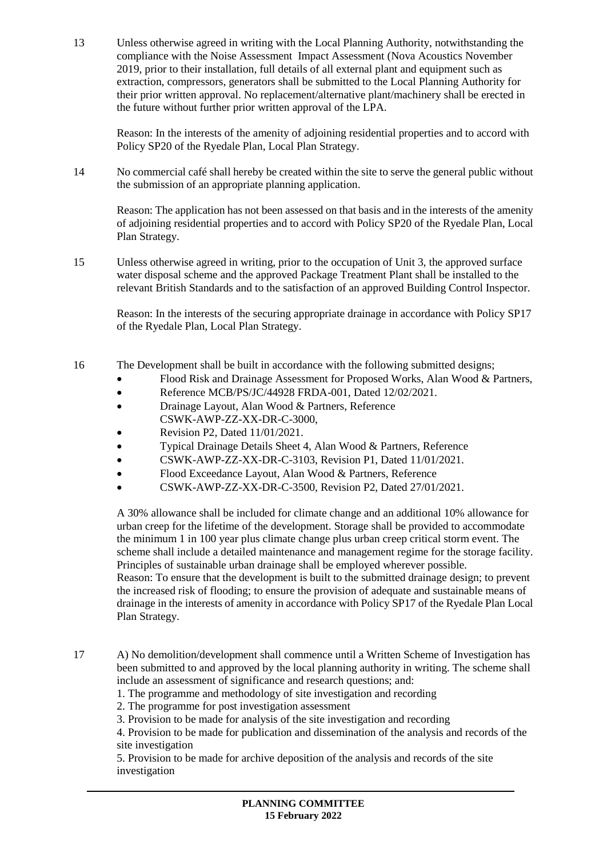13 Unless otherwise agreed in writing with the Local Planning Authority, notwithstanding the compliance with the Noise Assessment Impact Assessment (Nova Acoustics November 2019, prior to their installation, full details of all external plant and equipment such as extraction, compressors, generators shall be submitted to the Local Planning Authority for their prior written approval. No replacement/alternative plant/machinery shall be erected in the future without further prior written approval of the LPA.

Reason: In the interests of the amenity of adjoining residential properties and to accord with Policy SP20 of the Ryedale Plan, Local Plan Strategy.

14 No commercial café shall hereby be created within the site to serve the general public without the submission of an appropriate planning application.

Reason: The application has not been assessed on that basis and in the interests of the amenity of adjoining residential properties and to accord with Policy SP20 of the Ryedale Plan, Local Plan Strategy.

15 Unless otherwise agreed in writing, prior to the occupation of Unit 3, the approved surface water disposal scheme and the approved Package Treatment Plant shall be installed to the relevant British Standards and to the satisfaction of an approved Building Control Inspector.

Reason: In the interests of the securing appropriate drainage in accordance with Policy SP17 of the Ryedale Plan, Local Plan Strategy.

- 16 The Development shall be built in accordance with the following submitted designs;
	- Flood Risk and Drainage Assessment for Proposed Works, Alan Wood & Partners,
	- Reference MCB/PS/JC/44928 FRDA-001, Dated 12/02/2021.
	- Drainage Layout, Alan Wood & Partners, Reference CSWK-AWP-ZZ-XX-DR-C-3000,
	- Revision P2, Dated  $11/01/2021$ .
	- Typical Drainage Details Sheet 4, Alan Wood & Partners, Reference
	- CSWK-AWP-ZZ-XX-DR-C-3103, Revision P1, Dated 11/01/2021.
	- Flood Exceedance Layout, Alan Wood & Partners, Reference
	- CSWK-AWP-ZZ-XX-DR-C-3500, Revision P2, Dated 27/01/2021.

A 30% allowance shall be included for climate change and an additional 10% allowance for urban creep for the lifetime of the development. Storage shall be provided to accommodate the minimum 1 in 100 year plus climate change plus urban creep critical storm event. The scheme shall include a detailed maintenance and management regime for the storage facility. Principles of sustainable urban drainage shall be employed wherever possible.

Reason: To ensure that the development is built to the submitted drainage design; to prevent the increased risk of flooding; to ensure the provision of adequate and sustainable means of drainage in the interests of amenity in accordance with Policy SP17 of the Ryedale Plan Local Plan Strategy.

- 17 A) No demolition/development shall commence until a Written Scheme of Investigation has been submitted to and approved by the local planning authority in writing. The scheme shall include an assessment of significance and research questions; and:
	- 1. The programme and methodology of site investigation and recording
	- 2. The programme for post investigation assessment
	- 3. Provision to be made for analysis of the site investigation and recording

4. Provision to be made for publication and dissemination of the analysis and records of the site investigation

5. Provision to be made for archive deposition of the analysis and records of the site investigation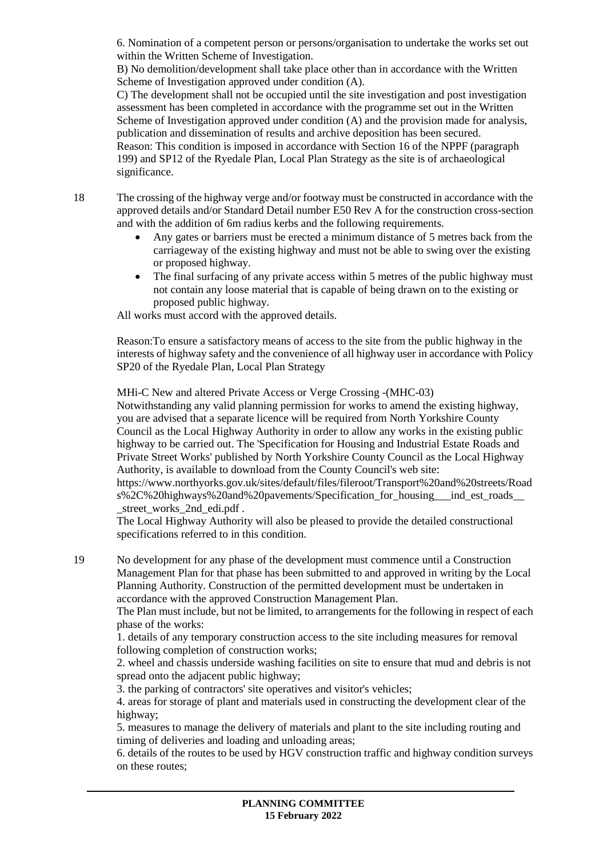6. Nomination of a competent person or persons/organisation to undertake the works set out within the Written Scheme of Investigation.

B) No demolition/development shall take place other than in accordance with the Written Scheme of Investigation approved under condition (A).

C) The development shall not be occupied until the site investigation and post investigation assessment has been completed in accordance with the programme set out in the Written Scheme of Investigation approved under condition (A) and the provision made for analysis, publication and dissemination of results and archive deposition has been secured. Reason: This condition is imposed in accordance with Section 16 of the NPPF (paragraph

199) and SP12 of the Ryedale Plan, Local Plan Strategy as the site is of archaeological significance.

18 The crossing of the highway verge and/or footway must be constructed in accordance with the approved details and/or Standard Detail number E50 Rev A for the construction cross-section and with the addition of 6m radius kerbs and the following requirements.

- Any gates or barriers must be erected a minimum distance of 5 metres back from the carriageway of the existing highway and must not be able to swing over the existing or proposed highway.
- The final surfacing of any private access within 5 metres of the public highway must not contain any loose material that is capable of being drawn on to the existing or proposed public highway.

All works must accord with the approved details.

Reason:To ensure a satisfactory means of access to the site from the public highway in the interests of highway safety and the convenience of all highway user in accordance with Policy SP20 of the Ryedale Plan, Local Plan Strategy

MHi-C New and altered Private Access or Verge Crossing -(MHC-03)

Notwithstanding any valid planning permission for works to amend the existing highway, you are advised that a separate licence will be required from North Yorkshire County Council as the Local Highway Authority in order to allow any works in the existing public highway to be carried out. The 'Specification for Housing and Industrial Estate Roads and Private Street Works' published by North Yorkshire County Council as the Local Highway Authority, is available to download from the County Council's web site: https://www.northyorks.gov.uk/sites/default/files/fileroot/Transport%20and%20streets/Road

s%2C%20highways%20and%20pavements/Specification\_for\_housing\_\_\_ind\_est\_roads\_\_ \_street\_works\_2nd\_edi.pdf .

The Local Highway Authority will also be pleased to provide the detailed constructional specifications referred to in this condition.

19 No development for any phase of the development must commence until a Construction Management Plan for that phase has been submitted to and approved in writing by the Local Planning Authority. Construction of the permitted development must be undertaken in accordance with the approved Construction Management Plan.

The Plan must include, but not be limited, to arrangements for the following in respect of each phase of the works:

1. details of any temporary construction access to the site including measures for removal following completion of construction works;

2. wheel and chassis underside washing facilities on site to ensure that mud and debris is not spread onto the adjacent public highway;

3. the parking of contractors' site operatives and visitor's vehicles;

4. areas for storage of plant and materials used in constructing the development clear of the highway;

5. measures to manage the delivery of materials and plant to the site including routing and timing of deliveries and loading and unloading areas;

6. details of the routes to be used by HGV construction traffic and highway condition surveys on these routes;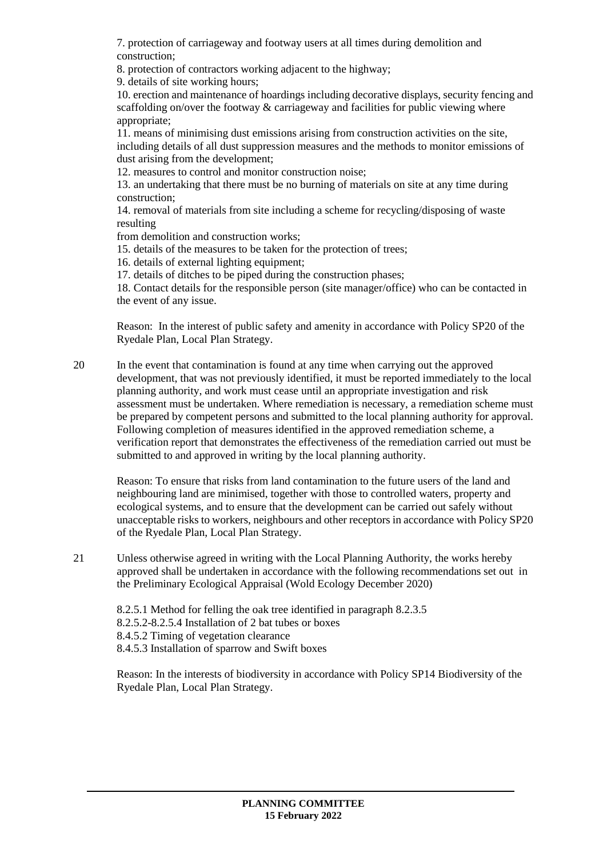7. protection of carriageway and footway users at all times during demolition and construction;

8. protection of contractors working adjacent to the highway;

9. details of site working hours;

10. erection and maintenance of hoardings including decorative displays, security fencing and scaffolding on/over the footway & carriageway and facilities for public viewing where appropriate;

11. means of minimising dust emissions arising from construction activities on the site, including details of all dust suppression measures and the methods to monitor emissions of dust arising from the development;

12. measures to control and monitor construction noise;

13. an undertaking that there must be no burning of materials on site at any time during construction;

14. removal of materials from site including a scheme for recycling/disposing of waste resulting

from demolition and construction works;

15. details of the measures to be taken for the protection of trees;

16. details of external lighting equipment;

17. details of ditches to be piped during the construction phases;

18. Contact details for the responsible person (site manager/office) who can be contacted in the event of any issue.

Reason: In the interest of public safety and amenity in accordance with Policy SP20 of the Ryedale Plan, Local Plan Strategy.

20 In the event that contamination is found at any time when carrying out the approved development, that was not previously identified, it must be reported immediately to the local planning authority, and work must cease until an appropriate investigation and risk assessment must be undertaken. Where remediation is necessary, a remediation scheme must be prepared by competent persons and submitted to the local planning authority for approval. Following completion of measures identified in the approved remediation scheme, a verification report that demonstrates the effectiveness of the remediation carried out must be submitted to and approved in writing by the local planning authority.

Reason: To ensure that risks from land contamination to the future users of the land and neighbouring land are minimised, together with those to controlled waters, property and ecological systems, and to ensure that the development can be carried out safely without unacceptable risks to workers, neighbours and other receptors in accordance with Policy SP20 of the Ryedale Plan, Local Plan Strategy.

21 Unless otherwise agreed in writing with the Local Planning Authority, the works hereby approved shall be undertaken in accordance with the following recommendations set out in the Preliminary Ecological Appraisal (Wold Ecology December 2020)

8.2.5.1 Method for felling the oak tree identified in paragraph 8.2.3.5

8.2.5.2-8.2.5.4 Installation of 2 bat tubes or boxes

8.4.5.2 Timing of vegetation clearance

8.4.5.3 Installation of sparrow and Swift boxes

Reason: In the interests of biodiversity in accordance with Policy SP14 Biodiversity of the Ryedale Plan, Local Plan Strategy.